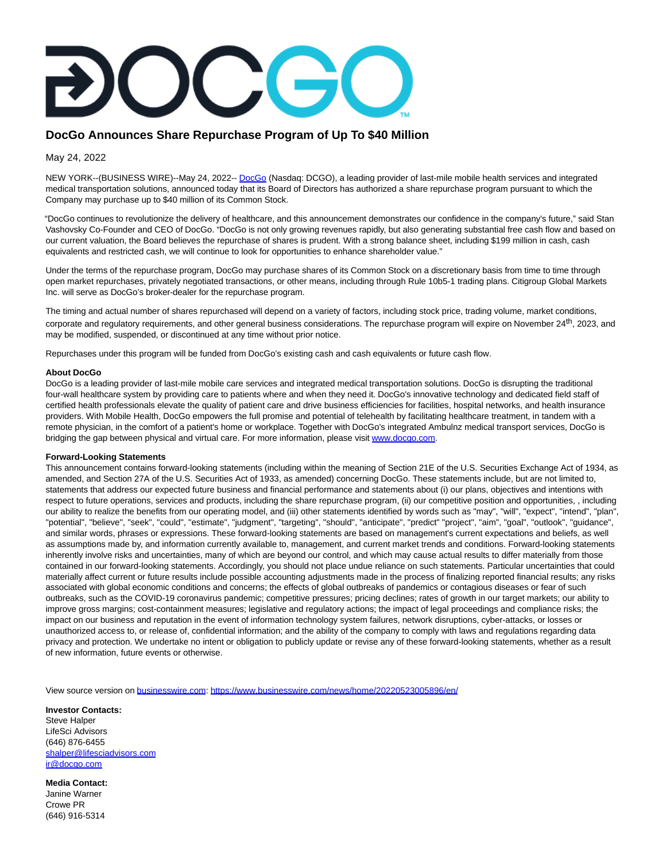## **DocGo Announces Share Repurchase Program of Up To \$40 Million**

May 24, 2022

NEW YORK--(BUSINESS WIRE)--May 24, 2022-[- DocGo \(](https://cts.businesswire.com/ct/CT?id=smartlink&url=https%3A%2F%2Fwww.docgo.com%2F&esheet=52728474&newsitemid=20220523005896&lan=en-US&anchor=DocGo&index=1&md5=e8892c9980b9482afcb4ca7b96ca4ba1)Nasdaq: DCGO), a leading provider of last-mile mobile health services and integrated medical transportation solutions, announced today that its Board of Directors has authorized a share repurchase program pursuant to which the Company may purchase up to \$40 million of its Common Stock.

"DocGo continues to revolutionize the delivery of healthcare, and this announcement demonstrates our confidence in the company's future," said Stan Vashovsky Co-Founder and CEO of DocGo. "DocGo is not only growing revenues rapidly, but also generating substantial free cash flow and based on our current valuation, the Board believes the repurchase of shares is prudent. With a strong balance sheet, including \$199 million in cash, cash equivalents and restricted cash, we will continue to look for opportunities to enhance shareholder value."

Under the terms of the repurchase program, DocGo may purchase shares of its Common Stock on a discretionary basis from time to time through open market repurchases, privately negotiated transactions, or other means, including through Rule 10b5-1 trading plans. Citigroup Global Markets Inc. will serve as DocGo's broker-dealer for the repurchase program.

The timing and actual number of shares repurchased will depend on a variety of factors, including stock price, trading volume, market conditions, corporate and regulatory requirements, and other general business considerations. The repurchase program will expire on November 24<sup>th</sup>, 2023, and may be modified, suspended, or discontinued at any time without prior notice.

Repurchases under this program will be funded from DocGo's existing cash and cash equivalents or future cash flow.

## **About DocGo**

DocGo is a leading provider of last-mile mobile care services and integrated medical transportation solutions. DocGo is disrupting the traditional four-wall healthcare system by providing care to patients where and when they need it. DocGo's innovative technology and dedicated field staff of certified health professionals elevate the quality of patient care and drive business efficiencies for facilities, hospital networks, and health insurance providers. With Mobile Health, DocGo empowers the full promise and potential of telehealth by facilitating healthcare treatment, in tandem with a remote physician, in the comfort of a patient's home or workplace. Together with DocGo's integrated Ambulnz medical transport services, DocGo is bridging the gap between physical and virtual care. For more information, please visit [www.docgo.com.](https://cts.businesswire.com/ct/CT?id=smartlink&url=http%3A%2F%2Fwww.docgo.com%2F&esheet=52728474&newsitemid=20220523005896&lan=en-US&anchor=www.docgo.com&index=2&md5=ca625b798deda337a3e5648aefaacc1d)

## **Forward-Looking Statements**

This announcement contains forward-looking statements (including within the meaning of Section 21E of the U.S. Securities Exchange Act of 1934, as amended, and Section 27A of the U.S. Securities Act of 1933, as amended) concerning DocGo. These statements include, but are not limited to, statements that address our expected future business and financial performance and statements about (i) our plans, objectives and intentions with respect to future operations, services and products, including the share repurchase program, (ii) our competitive position and opportunities, , including our ability to realize the benefits from our operating model, and (iii) other statements identified by words such as "may", "will", "expect", "intend", "plan", "potential", "believe", "seek", "could", "estimate", "judgment", "targeting", "should", "anticipate", "predict" "project", "aim", "goal", "outlook", "guidance", and similar words, phrases or expressions. These forward-looking statements are based on management's current expectations and beliefs, as well as assumptions made by, and information currently available to, management, and current market trends and conditions. Forward-looking statements inherently involve risks and uncertainties, many of which are beyond our control, and which may cause actual results to differ materially from those contained in our forward-looking statements. Accordingly, you should not place undue reliance on such statements. Particular uncertainties that could materially affect current or future results include possible accounting adjustments made in the process of finalizing reported financial results; any risks associated with global economic conditions and concerns; the effects of global outbreaks of pandemics or contagious diseases or fear of such outbreaks, such as the COVID-19 coronavirus pandemic; competitive pressures; pricing declines; rates of growth in our target markets; our ability to improve gross margins; cost-containment measures; legislative and regulatory actions; the impact of legal proceedings and compliance risks; the impact on our business and reputation in the event of information technology system failures, network disruptions, cyber-attacks, or losses or unauthorized access to, or release of, confidential information; and the ability of the company to comply with laws and regulations regarding data privacy and protection. We undertake no intent or obligation to publicly update or revise any of these forward-looking statements, whether as a result of new information, future events or otherwise.

View source version on [businesswire.com:](http://businesswire.com/)<https://www.businesswire.com/news/home/20220523005896/en/>

**Investor Contacts:** Steve Halper LifeSci Advisors (646) 876-6455 [shalper@lifesciadvisors.com](mailto:shalper@lifesciadvisors.com) [ir@docgo.com](mailto:ir@docgo.com)

**Media Contact:** Janine Warner Crowe PR (646) 916-5314